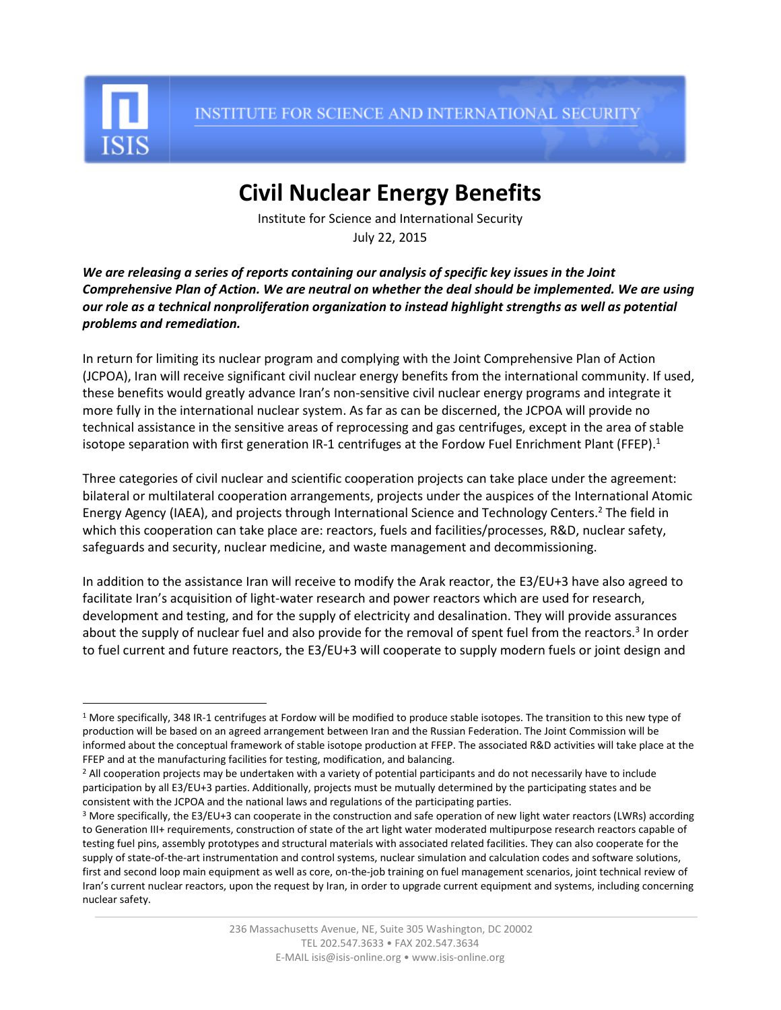

 $\overline{a}$ 

INSTITUTE FOR SCIENCE AND INTERNATIONAL SECURITY

## **Civil Nuclear Energy Benefits**

Institute for Science and International Security July 22, 2015

*We are releasing a series of reports containing our analysis of specific key issues in the Joint Comprehensive Plan of Action. We are neutral on whether the deal should be implemented. We are using our role as a technical nonproliferation organization to instead highlight strengths as well as potential problems and remediation.*

In return for limiting its nuclear program and complying with the Joint Comprehensive Plan of Action (JCPOA), Iran will receive significant civil nuclear energy benefits from the international community. If used, these benefits would greatly advance Iran's non-sensitive civil nuclear energy programs and integrate it more fully in the international nuclear system. As far as can be discerned, the JCPOA will provide no technical assistance in the sensitive areas of reprocessing and gas centrifuges, except in the area of stable isotope separation with first generation IR-1 centrifuges at the Fordow Fuel Enrichment Plant (FFEP).<sup>1</sup>

Three categories of civil nuclear and scientific cooperation projects can take place under the agreement: bilateral or multilateral cooperation arrangements, projects under the auspices of the International Atomic Energy Agency (IAEA), and projects through International Science and Technology Centers.<sup>2</sup> The field in which this cooperation can take place are: reactors, fuels and facilities/processes, R&D, nuclear safety, safeguards and security, nuclear medicine, and waste management and decommissioning.

In addition to the assistance Iran will receive to modify the Arak reactor, the E3/EU+3 have also agreed to facilitate Iran's acquisition of light-water research and power reactors which are used for research, development and testing, and for the supply of electricity and desalination. They will provide assurances about the supply of nuclear fuel and also provide for the removal of spent fuel from the reactors.<sup>3</sup> In order to fuel current and future reactors, the E3/EU+3 will cooperate to supply modern fuels or joint design and

<sup>&</sup>lt;sup>1</sup> More specifically, 348 IR-1 centrifuges at Fordow will be modified to produce stable isotopes. The transition to this new type of production will be based on an agreed arrangement between Iran and the Russian Federation. The Joint Commission will be informed about the conceptual framework of stable isotope production at FFEP. The associated R&D activities will take place at the FFEP and at the manufacturing facilities for testing, modification, and balancing.

<sup>&</sup>lt;sup>2</sup> All cooperation projects may be undertaken with a variety of potential participants and do not necessarily have to include participation by all E3/EU+3 parties. Additionally, projects must be mutually determined by the participating states and be consistent with the JCPOA and the national laws and regulations of the participating parties.

<sup>&</sup>lt;sup>3</sup> More specifically, the E3/EU+3 can cooperate in the construction and safe operation of new light water reactors (LWRs) according to Generation III+ requirements, construction of state of the art light water moderated multipurpose research reactors capable of testing fuel pins, assembly prototypes and structural materials with associated related facilities. They can also cooperate for the supply of state-of-the-art instrumentation and control systems, nuclear simulation and calculation codes and software solutions, first and second loop main equipment as well as core, on-the-job training on fuel management scenarios, joint technical review of Iran's current nuclear reactors, upon the request by Iran, in order to upgrade current equipment and systems, including concerning nuclear safety.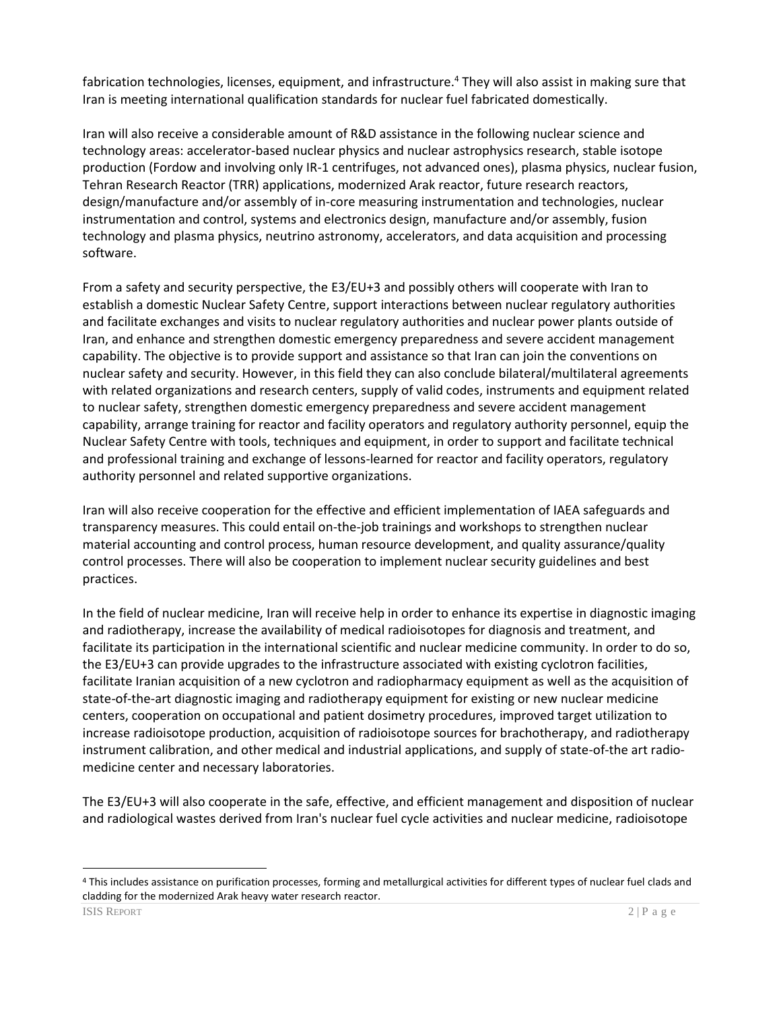fabrication technologies, licenses, equipment, and infrastructure.<sup>4</sup> They will also assist in making sure that Iran is meeting international qualification standards for nuclear fuel fabricated domestically.

Iran will also receive a considerable amount of R&D assistance in the following nuclear science and technology areas: accelerator-based nuclear physics and nuclear astrophysics research, stable isotope production (Fordow and involving only IR-1 centrifuges, not advanced ones), plasma physics, nuclear fusion, Tehran Research Reactor (TRR) applications, modernized Arak reactor, future research reactors, design/manufacture and/or assembly of in-core measuring instrumentation and technologies, nuclear instrumentation and control, systems and electronics design, manufacture and/or assembly, fusion technology and plasma physics, neutrino astronomy, accelerators, and data acquisition and processing software.

From a safety and security perspective, the E3/EU+3 and possibly others will cooperate with Iran to establish a domestic Nuclear Safety Centre, support interactions between nuclear regulatory authorities and facilitate exchanges and visits to nuclear regulatory authorities and nuclear power plants outside of Iran, and enhance and strengthen domestic emergency preparedness and severe accident management capability. The objective is to provide support and assistance so that Iran can join the conventions on nuclear safety and security. However, in this field they can also conclude bilateral/multilateral agreements with related organizations and research centers, supply of valid codes, instruments and equipment related to nuclear safety, strengthen domestic emergency preparedness and severe accident management capability, arrange training for reactor and facility operators and regulatory authority personnel, equip the Nuclear Safety Centre with tools, techniques and equipment, in order to support and facilitate technical and professional training and exchange of lessons-learned for reactor and facility operators, regulatory authority personnel and related supportive organizations.

Iran will also receive cooperation for the effective and efficient implementation of IAEA safeguards and transparency measures. This could entail on-the-job trainings and workshops to strengthen nuclear material accounting and control process, human resource development, and quality assurance/quality control processes. There will also be cooperation to implement nuclear security guidelines and best practices.

In the field of nuclear medicine, Iran will receive help in order to enhance its expertise in diagnostic imaging and radiotherapy, increase the availability of medical radioisotopes for diagnosis and treatment, and facilitate its participation in the international scientific and nuclear medicine community. In order to do so, the E3/EU+3 can provide upgrades to the infrastructure associated with existing cyclotron facilities, facilitate Iranian acquisition of a new cyclotron and radiopharmacy equipment as well as the acquisition of state-of-the-art diagnostic imaging and radiotherapy equipment for existing or new nuclear medicine centers, cooperation on occupational and patient dosimetry procedures, improved target utilization to increase radioisotope production, acquisition of radioisotope sources for brachotherapy, and radiotherapy instrument calibration, and other medical and industrial applications, and supply of state-of-the art radiomedicine center and necessary laboratories.

The E3/EU+3 will also cooperate in the safe, effective, and efficient management and disposition of nuclear and radiological wastes derived from Iran's nuclear fuel cycle activities and nuclear medicine, radioisotope

 $\overline{a}$ 

<sup>4</sup> This includes assistance on purification processes, forming and metallurgical activities for different types of nuclear fuel clads and cladding for the modernized Arak heavy water research reactor.